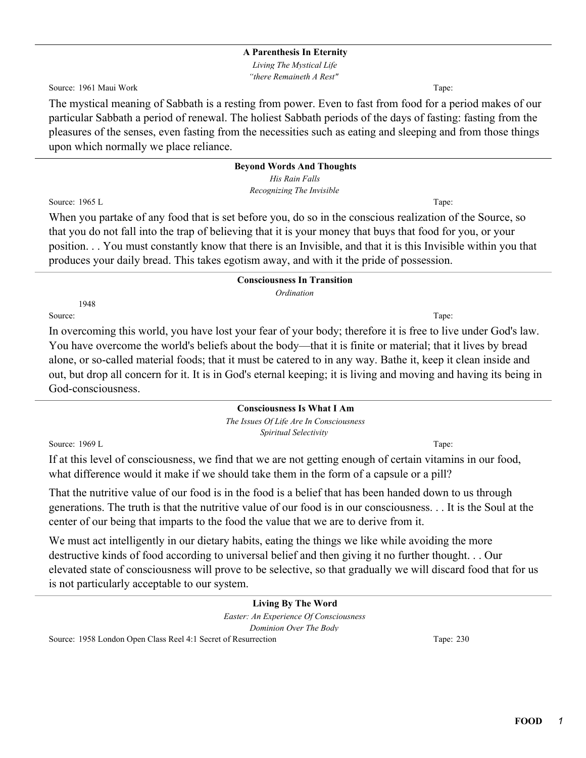*Living The Mystical Life "there Remaineth A Rest"*

Source: 1961 Maui Work Tape: Tape: Tape: Tape: Tape: Tape: Tape: Tape: Tape: Tape: Tape: Tape: Tape: Tape: Tape: Tape: Tape: Tape: Tape: Tape: Tape: Tape: Tape: Tape: Tape: Tape: Tape: Tape: Tape: Tape: Tape: Tape: Tape: T

The mystical meaning of Sabbath is a resting from power. Even to fast from food for a period makes of our particular Sabbath a period of renewal. The holiest Sabbath periods of the days of fasting: fasting from the pleasures of the senses, even fasting from the necessities such as eating and sleeping and from those things upon which normally we place reliance.

#### **Beyond Words And Thoughts** *His Rain Falls*

*Recognizing The Invisible*

Source: 1965 L Tape:

When you partake of any food that is set before you, do so in the conscious realization of the Source, so that you do not fall into the trap of believing that it is your money that buys that food for you, or your position. . . You must constantly know that there is an Invisible, and that it is this Invisible within you that produces your daily bread. This takes egotism away, and with it the pride of possession.

## **Consciousness In Transition**

*Ordination*

Source: Tape: Tape: Tape: Tape: Tape: Tape: Tape: Tape: Tape: Tape: Tape: Tape: Tape: Tape: Tape: Tape: Tape: Tape: Tape: Tape: Tape: Tape: Tape: Tape: Tape: Tape: Tape: Tape: Tape: Tape: Tape: Tape: Tape: Tape: Tape: Tape

1948

In overcoming this world, you have lost your fear of your body; therefore it is free to live under God's law. You have overcome the world's beliefs about the body—that it is finite or material; that it lives by bread alone, or so-called material foods; that it must be catered to in any way. Bathe it, keep it clean inside and out, but drop all concern for it. It is in God's eternal keeping; it is living and moving and having its being in God-consciousness.

## **Consciousness Is What I Am**

*The Issues Of Life Are In Consciousness Spiritual Selectivity*

Source: 1969 L Tape:

If at this level of consciousness, we find that we are not getting enough of certain vitamins in our food, what difference would it make if we should take them in the form of a capsule or a pill?

That the nutritive value of our food is in the food is a belief that has been handed down to us through generations. The truth is that the nutritive value of our food is in our consciousness. . . It is the Soul at the center of our being that imparts to the food the value that we are to derive from it.

We must act intelligently in our dietary habits, eating the things we like while avoiding the more destructive kinds of food according to universal belief and then giving it no further thought. . . Our elevated state of consciousness will prove to be selective, so that gradually we will discard food that for us is not particularly acceptable to our system.

#### **Living By The Word** *Easter: An Experience Of Consciousness Dominion Over The Body* Source: 1958 London Open Class Reel 4:1 Secret of Resurrection Tape: 230